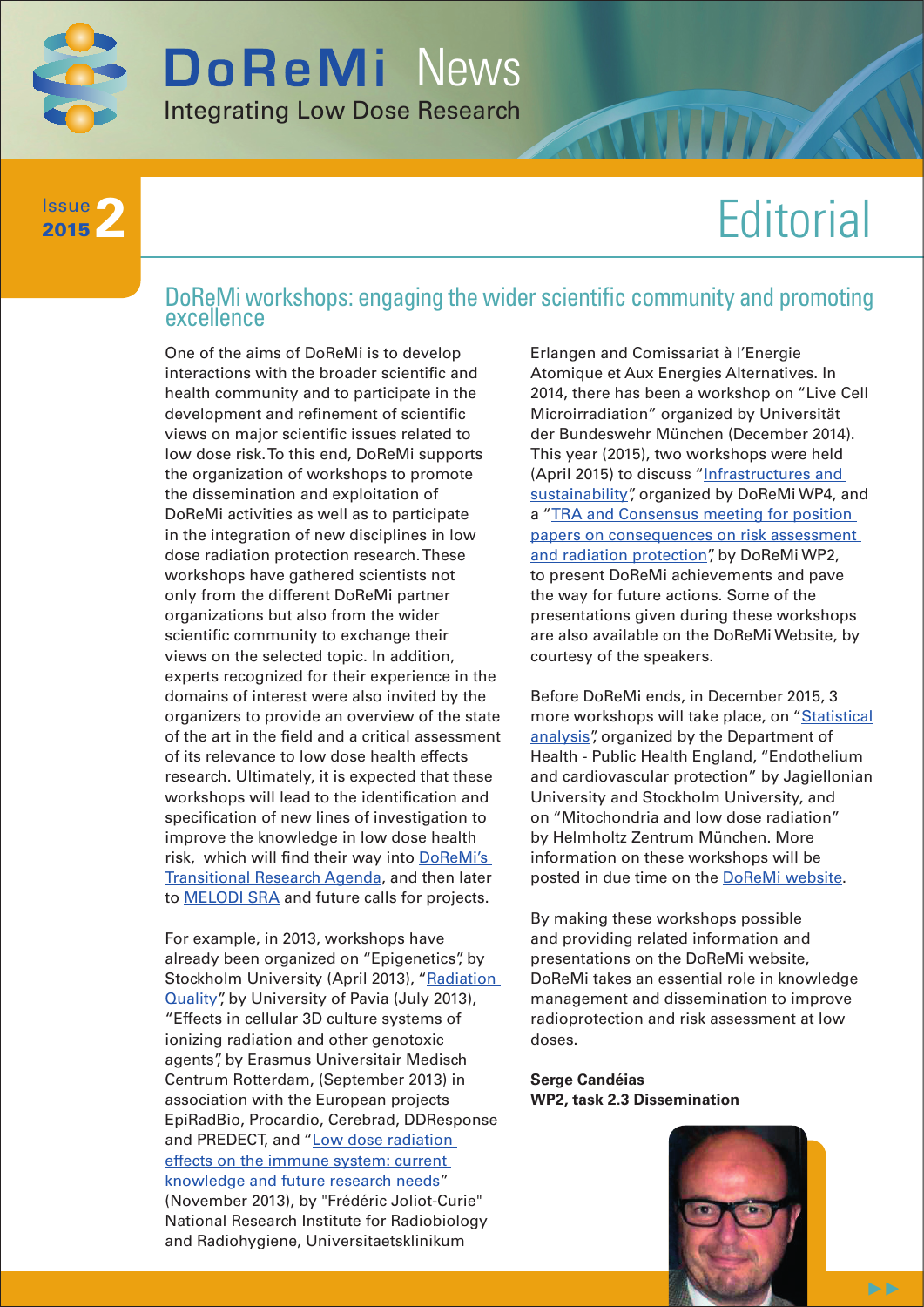

## **2** Issue 2015

# **Editorial**

### DoReMi workshops: engaging the wider scientific community and promoting excellence

One of the aims of DoReMi is to develop interactions with the broader scientific and health community and to participate in the development and refinement of scientific views on major scientific issues related to low dose risk. To this end, DoReMi supports the organization of workshops to promote the dissemination and exploitation of DoReMi activities as well as to participate in the integration of new disciplines in low dose radiation protection research. These workshops have gathered scientists not only from the different DoReMi partner organizations but also from the wider scientific community to exchange their views on the selected topic. In addition, experts recognized for their experience in the domains of interest were also invited by the organizers to provide an overview of the state of the art in the field and a critical assessment of its relevance to low dose health effects research. Ultimately, it is expected that these workshops will lead to the identification and specification of new lines of investigation to improve the knowledge in low dose health risk, which will find their way into DoReMi's Transitional Research Agenda, and then later to [MELODI SRA](http://www.melodi-online.eu/sra.html) and future calls for projects.

For example, in 2013, workshops have already been organized on "Epigenetics", by Stockholm University (April 2013), "Radiation Quality", by University of Pavia (July 2013), "Effects in cellular 3D culture systems of ionizing radiation and other genotoxic agents", by Erasmus Universitair Medisch Centrum Rotterdam, (September 2013) in association with the European projects EpiRadBio, Procardio, Cerebrad, DDResponse [and PREDECT, and "Low dose radiation](http://www.doremi-noe.net/doremi_Workshop_Low_dose_radiation_effects_on_the_immune_system_2013.html)  effects on the immune system: current knowledge and future research needs" (November 2013), by "Frédéric Joliot-Curie" National Research Institute for Radiobiology and Radiohygiene, Universitaetsklinikum

Erlangen and Comissariat à l'Energie Atomique et Aux Energies Alternatives. In 2014, there has been a workshop on "Live Cell Microirradiation" organized by Universität der Bundeswehr München (December 2014). This year (2015), two workshops were held [\(April 2015\) to discuss "Infrastructures and](http://www.doremi-noe.net/meetings_and_events.html#InfraWS)  sustainability", organized by DoReMi WP4, and [a "TRA and Consensus meeting for position](http://www.doremi-noe.net/TRA_and_Consensus_meeting_for_position_papers.html)  papers on consequences on risk assessment and radiation protection", by DoReMi WP2, to present DoReMi achievements and pave the way for future actions. Some of the presentations given during these workshops are also available on the DoReMi Website, by courtesy of the speakers.

Before DoReMi ends, in December 2015, 3 [more workshops will take place, on "Statistical](http://www.doremi-noe.net/meetings_and_events.html#LDRadstats)  analysis", organized by the Department of Health - Public Health England, "Endothelium and cardiovascular protection" by Jagiellonian University and Stockholm University, and on "Mitochondria and low dose radiation" by Helmholtz Zentrum München. More information on these workshops will be posted in due time on the [DoReMi website.](http://www.doremi-noe.net/meetings_and_events.html)

By making these workshops possible and providing related information and presentations on the DoReMi website, DoReMi takes an essential role in knowledge management and dissemination to improve radioprotection and risk assessment at low doses.

**Serge Candéias WP2, task 2.3 Dissemination**